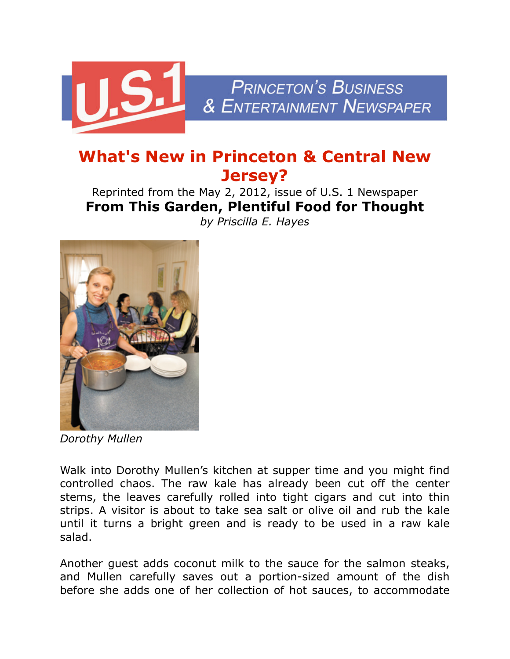

## **What's New in Princeton & Central New Jersey?**

Reprinted from the May 2, 2012, issue of U.S. 1 Newspaper **From This Garden, Plentiful Food for Thought** *by Priscilla E. Hayes*



*Dorothy Mullen*

Walk into Dorothy Mullen's kitchen at supper time and you might find controlled chaos. The raw kale has already been cut off the center stems, the leaves carefully rolled into tight cigars and cut into thin strips. A visitor is about to take sea salt or olive oil and rub the kale until it turns a bright green and is ready to be used in a raw kale salad.

Another guest adds coconut milk to the sauce for the salmon steaks, and Mullen carefully saves out a portion-sized amount of the dish before she adds one of her collection of hot sauces, to accommodate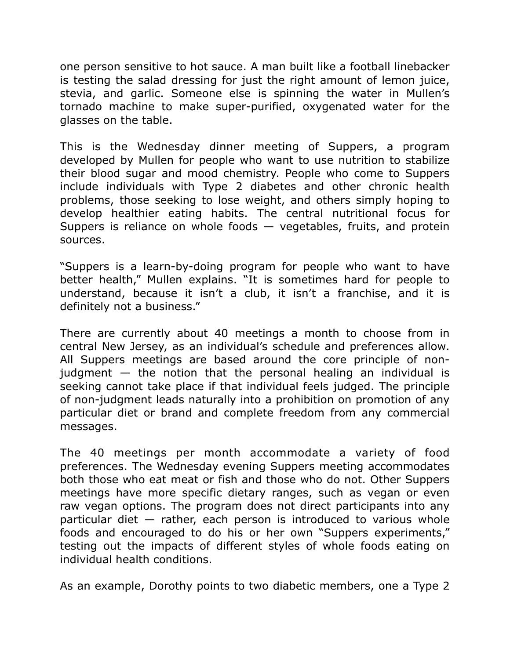one person sensitive to hot sauce. A man built like a football linebacker is testing the salad dressing for just the right amount of lemon juice, stevia, and garlic. Someone else is spinning the water in Mullen's tornado machine to make super-purified, oxygenated water for the glasses on the table.

This is the Wednesday dinner meeting of Suppers, a program developed by Mullen for people who want to use nutrition to stabilize their blood sugar and mood chemistry. People who come to Suppers include individuals with Type 2 diabetes and other chronic health problems, those seeking to lose weight, and others simply hoping to develop healthier eating habits. The central nutritional focus for Suppers is reliance on whole foods — vegetables, fruits, and protein sources.

"Suppers is a learn-by-doing program for people who want to have better health," Mullen explains. "It is sometimes hard for people to understand, because it isn't a club, it isn't a franchise, and it is definitely not a business."

There are currently about 40 meetings a month to choose from in central New Jersey, as an individual's schedule and preferences allow. All Suppers meetings are based around the core principle of nonjudgment  $-$  the notion that the personal healing an individual is seeking cannot take place if that individual feels judged. The principle of non-judgment leads naturally into a prohibition on promotion of any particular diet or brand and complete freedom from any commercial messages.

The 40 meetings per month accommodate a variety of food preferences. The Wednesday evening Suppers meeting accommodates both those who eat meat or fish and those who do not. Other Suppers meetings have more specific dietary ranges, such as vegan or even raw vegan options. The program does not direct participants into any particular diet — rather, each person is introduced to various whole foods and encouraged to do his or her own "Suppers experiments," testing out the impacts of different styles of whole foods eating on individual health conditions.

As an example, Dorothy points to two diabetic members, one a Type 2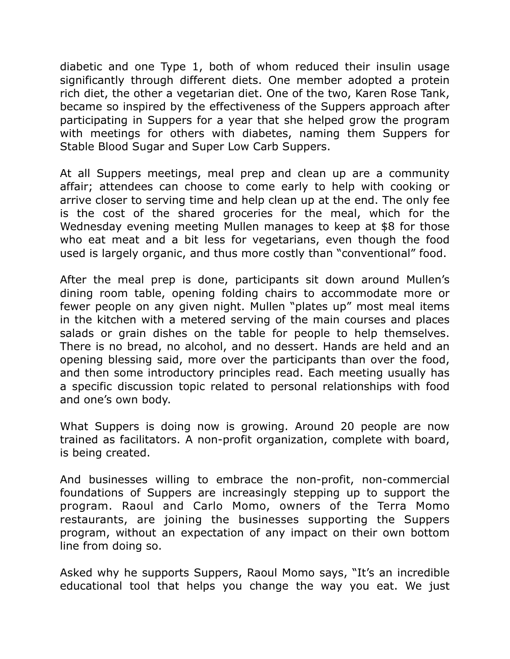diabetic and one Type 1, both of whom reduced their insulin usage significantly through different diets. One member adopted a protein rich diet, the other a vegetarian diet. One of the two, Karen Rose Tank, became so inspired by the effectiveness of the Suppers approach after participating in Suppers for a year that she helped grow the program with meetings for others with diabetes, naming them Suppers for Stable Blood Sugar and Super Low Carb Suppers.

At all Suppers meetings, meal prep and clean up are a community affair; attendees can choose to come early to help with cooking or arrive closer to serving time and help clean up at the end. The only fee is the cost of the shared groceries for the meal, which for the Wednesday evening meeting Mullen manages to keep at \$8 for those who eat meat and a bit less for vegetarians, even though the food used is largely organic, and thus more costly than "conventional" food.

After the meal prep is done, participants sit down around Mullen's dining room table, opening folding chairs to accommodate more or fewer people on any given night. Mullen "plates up" most meal items in the kitchen with a metered serving of the main courses and places salads or grain dishes on the table for people to help themselves. There is no bread, no alcohol, and no dessert. Hands are held and an opening blessing said, more over the participants than over the food, and then some introductory principles read. Each meeting usually has a specific discussion topic related to personal relationships with food and one's own body.

What Suppers is doing now is growing. Around 20 people are now trained as facilitators. A non-profit organization, complete with board, is being created.

And businesses willing to embrace the non-profit, non-commercial foundations of Suppers are increasingly stepping up to support the program. Raoul and Carlo Momo, owners of the Terra Momo restaurants, are joining the businesses supporting the Suppers program, without an expectation of any impact on their own bottom line from doing so.

Asked why he supports Suppers, Raoul Momo says, "It's an incredible educational tool that helps you change the way you eat. We just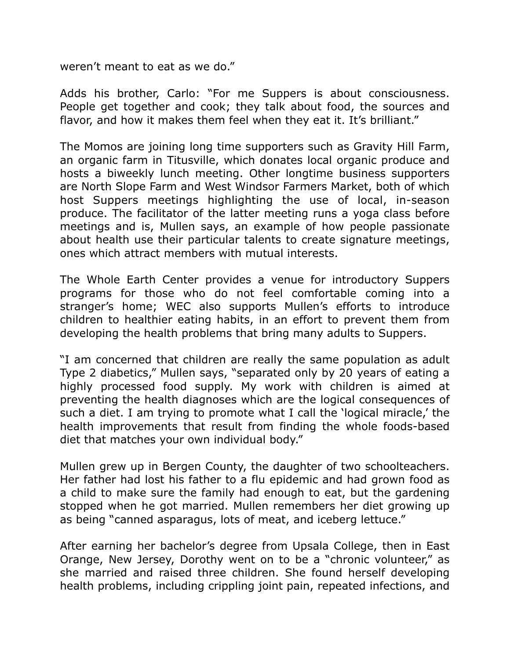weren't meant to eat as we do."

Adds his brother, Carlo: "For me Suppers is about consciousness. People get together and cook; they talk about food, the sources and flavor, and how it makes them feel when they eat it. It's brilliant."

The Momos are joining long time supporters such as Gravity Hill Farm, an organic farm in Titusville, which donates local organic produce and hosts a biweekly lunch meeting. Other longtime business supporters are North Slope Farm and West Windsor Farmers Market, both of which host Suppers meetings highlighting the use of local, in-season produce. The facilitator of the latter meeting runs a yoga class before meetings and is, Mullen says, an example of how people passionate about health use their particular talents to create signature meetings, ones which attract members with mutual interests.

The Whole Earth Center provides a venue for introductory Suppers programs for those who do not feel comfortable coming into a stranger's home; WEC also supports Mullen's efforts to introduce children to healthier eating habits, in an effort to prevent them from developing the health problems that bring many adults to Suppers.

"I am concerned that children are really the same population as adult Type 2 diabetics," Mullen says, "separated only by 20 years of eating a highly processed food supply. My work with children is aimed at preventing the health diagnoses which are the logical consequences of such a diet. I am trying to promote what I call the 'logical miracle,' the health improvements that result from finding the whole foods-based diet that matches your own individual body."

Mullen grew up in Bergen County, the daughter of two schoolteachers. Her father had lost his father to a flu epidemic and had grown food as a child to make sure the family had enough to eat, but the gardening stopped when he got married. Mullen remembers her diet growing up as being "canned asparagus, lots of meat, and iceberg lettuce."

After earning her bachelor's degree from Upsala College, then in East Orange, New Jersey, Dorothy went on to be a "chronic volunteer," as she married and raised three children. She found herself developing health problems, including crippling joint pain, repeated infections, and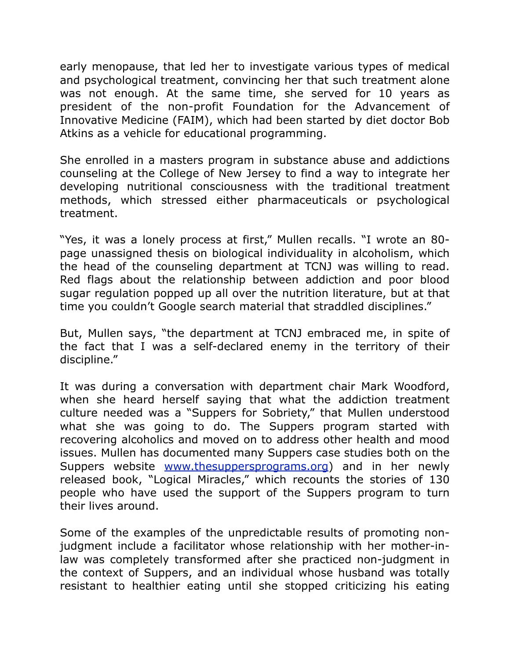early menopause, that led her to investigate various types of medical and psychological treatment, convincing her that such treatment alone was not enough. At the same time, she served for 10 years as president of the non-profit Foundation for the Advancement of Innovative Medicine (FAIM), which had been started by diet doctor Bob Atkins as a vehicle for educational programming.

She enrolled in a masters program in substance abuse and addictions counseling at the College of New Jersey to find a way to integrate her developing nutritional consciousness with the traditional treatment methods, which stressed either pharmaceuticals or psychological treatment.

"Yes, it was a lonely process at first," Mullen recalls. "I wrote an 80 page unassigned thesis on biological individuality in alcoholism, which the head of the counseling department at TCNJ was willing to read. Red flags about the relationship between addiction and poor blood sugar regulation popped up all over the nutrition literature, but at that time you couldn't Google search material that straddled disciplines."

But, Mullen says, "the department at TCNJ embraced me, in spite of the fact that I was a self-declared enemy in the territory of their discipline."

It was during a conversation with department chair Mark Woodford, when she heard herself saying that what the addiction treatment culture needed was a "Suppers for Sobriety," that Mullen understood what she was going to do. The Suppers program started with recovering alcoholics and moved on to address other health and mood issues. Mullen has documented many Suppers case studies both on the Suppers website [www.thesuppersprograms.org](http://www.thesuppersprograms.org/)) and in her newly released book, "Logical Miracles," which recounts the stories of 130 people who have used the support of the Suppers program to turn their lives around.

Some of the examples of the unpredictable results of promoting nonjudgment include a facilitator whose relationship with her mother-inlaw was completely transformed after she practiced non-judgment in the context of Suppers, and an individual whose husband was totally resistant to healthier eating until she stopped criticizing his eating